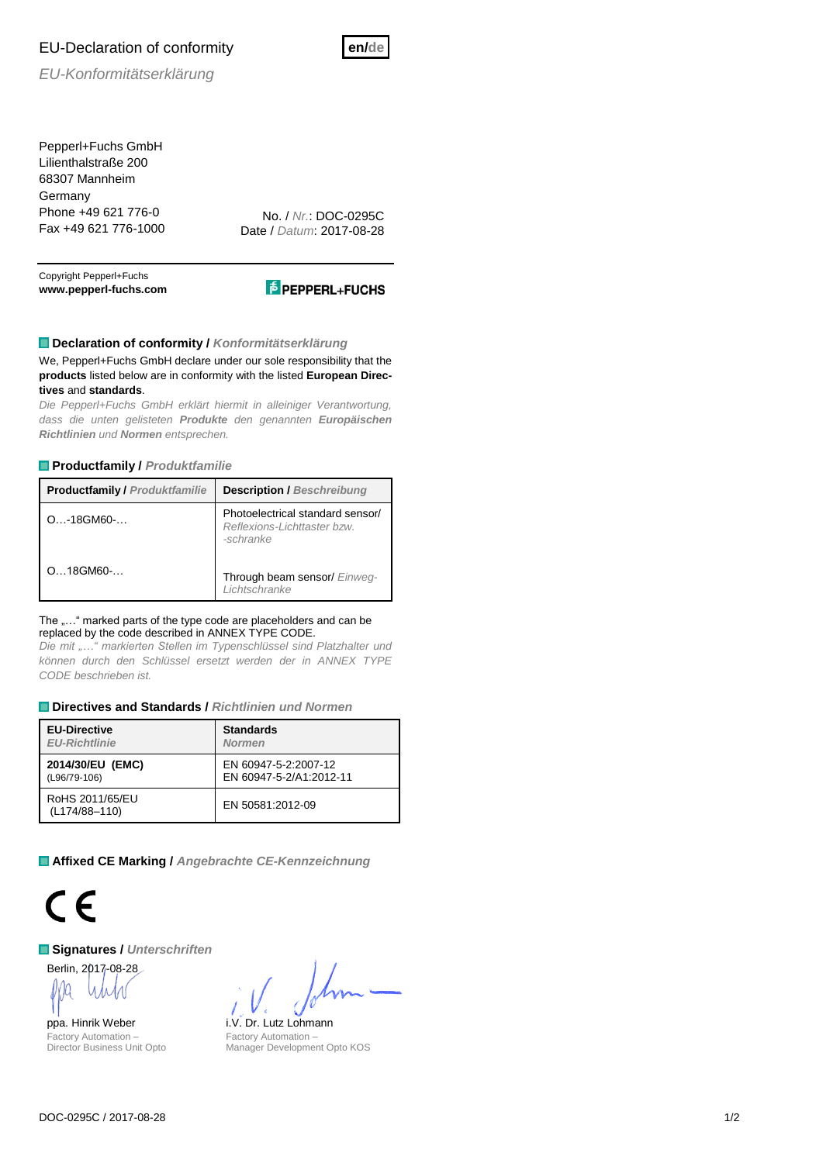# EU-Declaration of conformity



*EU-Konformitätserklärung*

Pepperl+Fuchs GmbH Lilienthalstraße 200 68307 Mannheim **Germany** Phone +49 621 776-0 Fax +49 621 776-1000

No. / *Nr.*: DOC-0295C Date / *Datum*: 2017-08-28

Copyright Pepperl+Fuchs **www.pepperl-fuchs.com**



## **Declaration of conformity /** *Konformitätserklärung*

We, Pepperl+Fuchs GmbH declare under our sole responsibility that the **products** listed below are in conformity with the listed **European Directives** and **standards**.

*Die Pepperl+Fuchs GmbH erklärt hiermit in alleiniger Verantwortung, dass die unten gelisteten Produkte den genannten Europäischen Richtlinien und Normen entsprechen.*

### **Productfamily /** *Produktfamilie*

| <b>Productfamily / Produktfamilie</b> | <b>Description / Beschreibung</b>                                            |  |  |  |  |  |  |
|---------------------------------------|------------------------------------------------------------------------------|--|--|--|--|--|--|
| $O_{\dots}$ -18GM60- $\dots$          | Photoelectrical standard sensor/<br>Reflexions-Lichttaster bzw.<br>-schranke |  |  |  |  |  |  |
| $Q_{}$ 18GM60- $$                     | Through beam sensor/ Einweg-<br>Lichtschranke                                |  |  |  |  |  |  |

#### The ...." marked parts of the type code are placeholders and can be replaced by the code described in ANNEX TYPE CODE.

*Die mit "…" markierten Stellen im Typenschlüssel sind Platzhalter und können durch den Schlüssel ersetzt werden der in ANNEX TYPE CODE beschrieben ist.*

### **Directives and Standards /** *Richtlinien und Normen*

| <b>EU-Directive</b>              | <b>Standards</b>        |  |  |  |  |  |  |
|----------------------------------|-------------------------|--|--|--|--|--|--|
| <b>EU-Richtlinie</b>             | <b>Normen</b>           |  |  |  |  |  |  |
| 2014/30/EU (EMC)                 | EN 60947-5-2:2007-12    |  |  |  |  |  |  |
| (L96/79-106)                     | EN 60947-5-2/A1:2012-11 |  |  |  |  |  |  |
| RoHS 2011/65/EU<br>(L174/88-110) | EN 50581:2012-09        |  |  |  |  |  |  |

**Affixed CE Marking /** *Angebrachte CE-Kennzeichnung*



### **Signatures /** *Unterschriften*

Berlin, 2017-08-28

Factory Automation – Director Business Unit Opto

ppa. Hinrik Weber i.V. Dr. Lutz Lohmann Factory Automation – Manager Development Opto KOS